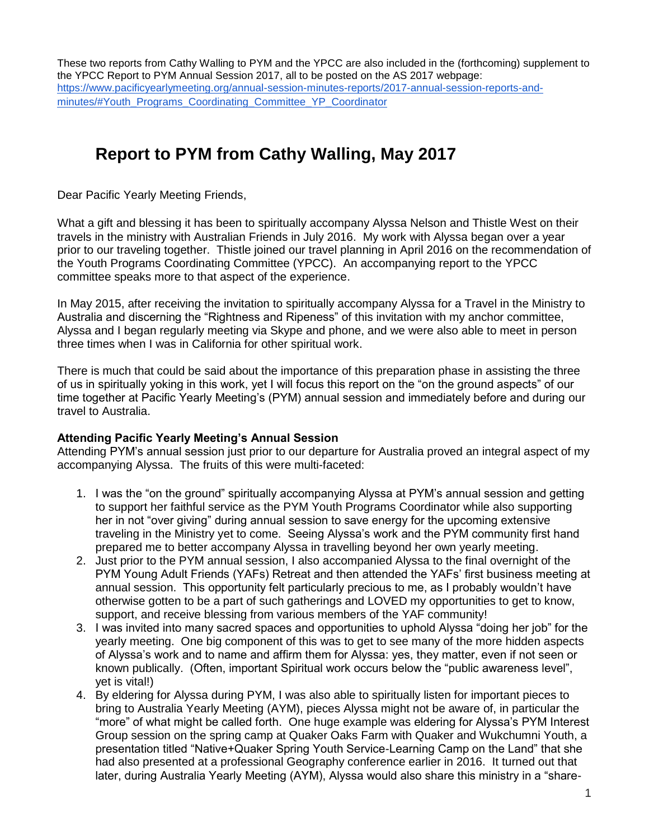These two reports from Cathy Walling to PYM and the YPCC are also included in the (forthcoming) supplement to the YPCC Report to PYM Annual Session 2017, all to be posted on the AS 2017 webpage: [https://www.pacificyearlymeeting.org/annual-session-minutes-reports/2017-annual-session-reports-and](https://www.pacificyearlymeeting.org/annual-session-minutes-reports/2017-annual-session-reports-and-minutes/#Youth_Programs_Coordinating_Committee_YP_Coordinator)[minutes/#Youth\\_Programs\\_Coordinating\\_Committee\\_YP\\_Coordinator](https://www.pacificyearlymeeting.org/annual-session-minutes-reports/2017-annual-session-reports-and-minutes/#Youth_Programs_Coordinating_Committee_YP_Coordinator)

# **Report to PYM from Cathy Walling, May 2017**

Dear Pacific Yearly Meeting Friends,

What a gift and blessing it has been to spiritually accompany Alyssa Nelson and Thistle West on their travels in the ministry with Australian Friends in July 2016. My work with Alyssa began over a year prior to our traveling together. Thistle joined our travel planning in April 2016 on the recommendation of the Youth Programs Coordinating Committee (YPCC). An accompanying report to the YPCC committee speaks more to that aspect of the experience.

In May 2015, after receiving the invitation to spiritually accompany Alyssa for a Travel in the Ministry to Australia and discerning the "Rightness and Ripeness" of this invitation with my anchor committee, Alyssa and I began regularly meeting via Skype and phone, and we were also able to meet in person three times when I was in California for other spiritual work.

There is much that could be said about the importance of this preparation phase in assisting the three of us in spiritually yoking in this work, yet I will focus this report on the "on the ground aspects" of our time together at Pacific Yearly Meeting's (PYM) annual session and immediately before and during our travel to Australia.

### **Attending Pacific Yearly Meeting's Annual Session**

Attending PYM's annual session just prior to our departure for Australia proved an integral aspect of my accompanying Alyssa. The fruits of this were multi-faceted:

- 1. I was the "on the ground" spiritually accompanying Alyssa at PYM's annual session and getting to support her faithful service as the PYM Youth Programs Coordinator while also supporting her in not "over giving" during annual session to save energy for the upcoming extensive traveling in the Ministry yet to come. Seeing Alyssa's work and the PYM community first hand prepared me to better accompany Alyssa in travelling beyond her own yearly meeting.
- 2. Just prior to the PYM annual session, I also accompanied Alyssa to the final overnight of the PYM Young Adult Friends (YAFs) Retreat and then attended the YAFs' first business meeting at annual session. This opportunity felt particularly precious to me, as I probably wouldn't have otherwise gotten to be a part of such gatherings and LOVED my opportunities to get to know, support, and receive blessing from various members of the YAF community!
- 3. I was invited into many sacred spaces and opportunities to uphold Alyssa "doing her job" for the yearly meeting. One big component of this was to get to see many of the more hidden aspects of Alyssa's work and to name and affirm them for Alyssa: yes, they matter, even if not seen or known publically. (Often, important Spiritual work occurs below the "public awareness level", yet is vital!)
- 4. By eldering for Alyssa during PYM, I was also able to spiritually listen for important pieces to bring to Australia Yearly Meeting (AYM), pieces Alyssa might not be aware of, in particular the "more" of what might be called forth. One huge example was eldering for Alyssa's PYM Interest Group session on the spring camp at Quaker Oaks Farm with Quaker and Wukchumni Youth, a presentation titled "Native+Quaker Spring Youth Service-Learning Camp on the Land" that she had also presented at a professional Geography conference earlier in 2016. It turned out that later, during Australia Yearly Meeting (AYM), Alyssa would also share this ministry in a "share-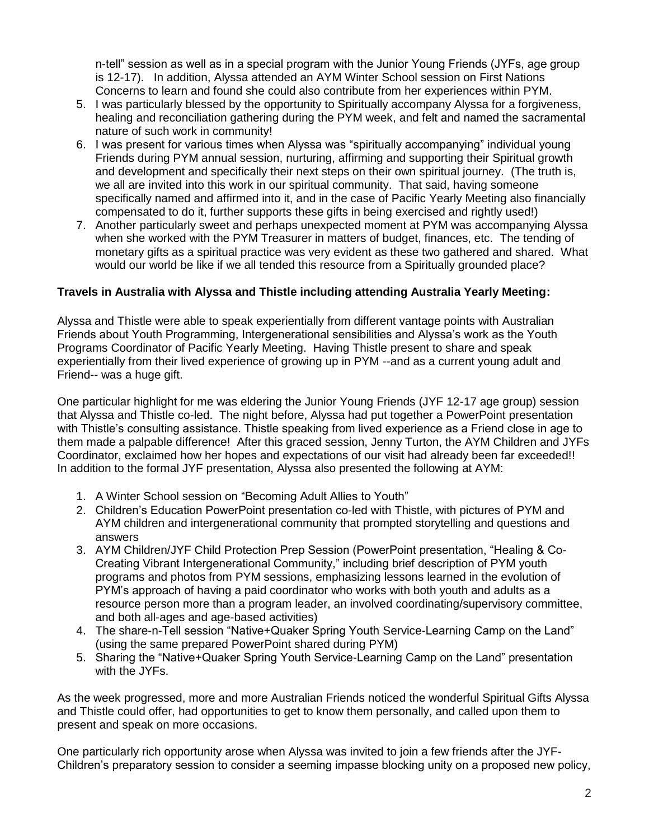n-tell" session as well as in a special program with the Junior Young Friends (JYFs, age group is 12-17). In addition, Alyssa attended an AYM Winter School session on First Nations Concerns to learn and found she could also contribute from her experiences within PYM.

- 5. I was particularly blessed by the opportunity to Spiritually accompany Alyssa for a forgiveness, healing and reconciliation gathering during the PYM week, and felt and named the sacramental nature of such work in community!
- 6. I was present for various times when Alyssa was "spiritually accompanying" individual young Friends during PYM annual session, nurturing, affirming and supporting their Spiritual growth and development and specifically their next steps on their own spiritual journey. (The truth is, we all are invited into this work in our spiritual community. That said, having someone specifically named and affirmed into it, and in the case of Pacific Yearly Meeting also financially compensated to do it, further supports these gifts in being exercised and rightly used!)
- 7. Another particularly sweet and perhaps unexpected moment at PYM was accompanying Alyssa when she worked with the PYM Treasurer in matters of budget, finances, etc. The tending of monetary gifts as a spiritual practice was very evident as these two gathered and shared. What would our world be like if we all tended this resource from a Spiritually grounded place?

### **Travels in Australia with Alyssa and Thistle including attending Australia Yearly Meeting:**

Alyssa and Thistle were able to speak experientially from different vantage points with Australian Friends about Youth Programming, Intergenerational sensibilities and Alyssa's work as the Youth Programs Coordinator of Pacific Yearly Meeting. Having Thistle present to share and speak experientially from their lived experience of growing up in PYM --and as a current young adult and Friend-- was a huge gift.

One particular highlight for me was eldering the Junior Young Friends (JYF 12-17 age group) session that Alyssa and Thistle co-led. The night before, Alyssa had put together a PowerPoint presentation with Thistle's consulting assistance. Thistle speaking from lived experience as a Friend close in age to them made a palpable difference! After this graced session, Jenny Turton, the AYM Children and JYFs Coordinator, exclaimed how her hopes and expectations of our visit had already been far exceeded!! In addition to the formal JYF presentation, Alyssa also presented the following at AYM:

- 1. A Winter School session on "Becoming Adult Allies to Youth"
- 2. Children's Education PowerPoint presentation co-led with Thistle, with pictures of PYM and AYM children and intergenerational community that prompted storytelling and questions and answers
- 3. AYM Children/JYF Child Protection Prep Session (PowerPoint presentation, "Healing & Co-Creating Vibrant Intergenerational Community," including brief description of PYM youth programs and photos from PYM sessions, emphasizing lessons learned in the evolution of PYM's approach of having a paid coordinator who works with both youth and adults as a resource person more than a program leader, an involved coordinating/supervisory committee, and both all-ages and age-based activities)
- 4. The share-n-Tell session "Native+Quaker Spring Youth Service-Learning Camp on the Land" (using the same prepared PowerPoint shared during PYM)
- 5. Sharing the "Native+Quaker Spring Youth Service-Learning Camp on the Land" presentation with the JYFs.

As the week progressed, more and more Australian Friends noticed the wonderful Spiritual Gifts Alyssa and Thistle could offer, had opportunities to get to know them personally, and called upon them to present and speak on more occasions.

One particularly rich opportunity arose when Alyssa was invited to join a few friends after the JYF-Children's preparatory session to consider a seeming impasse blocking unity on a proposed new policy,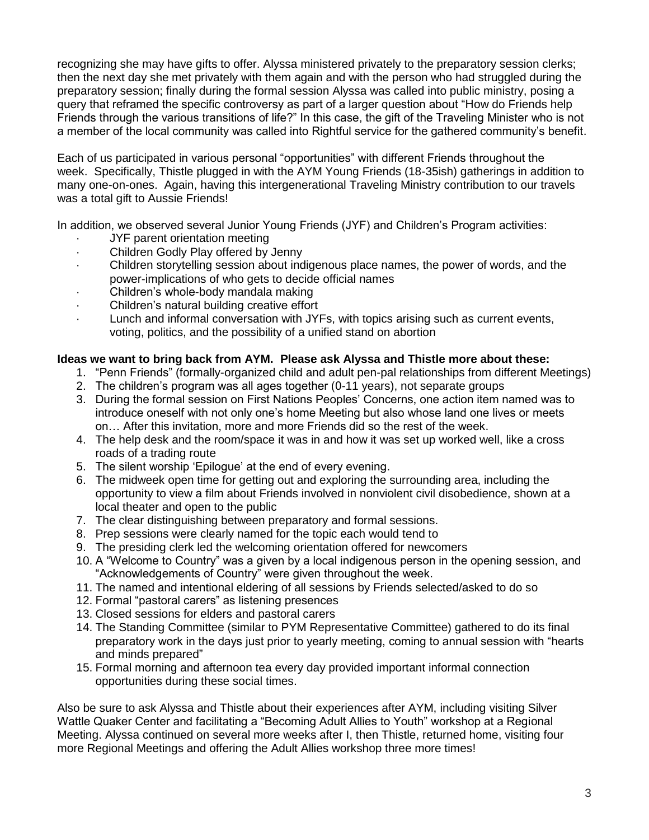recognizing she may have gifts to offer. Alyssa ministered privately to the preparatory session clerks; then the next day she met privately with them again and with the person who had struggled during the preparatory session; finally during the formal session Alyssa was called into public ministry, posing a query that reframed the specific controversy as part of a larger question about "How do Friends help Friends through the various transitions of life?" In this case, the gift of the Traveling Minister who is not a member of the local community was called into Rightful service for the gathered community's benefit.

Each of us participated in various personal "opportunities" with different Friends throughout the week. Specifically, Thistle plugged in with the AYM Young Friends (18-35ish) gatherings in addition to many one-on-ones. Again, having this intergenerational Traveling Ministry contribution to our travels was a total gift to Aussie Friends!

In addition, we observed several Junior Young Friends (JYF) and Children's Program activities:

- JYF parent orientation meeting
- Children Godly Play offered by Jenny
- · Children storytelling session about indigenous place names, the power of words, and the power-implications of who gets to decide official names
- Children's whole-body mandala making
- · Children's natural building creative effort
- Lunch and informal conversation with JYFs, with topics arising such as current events, voting, politics, and the possibility of a unified stand on abortion

#### **Ideas we want to bring back from AYM. Please ask Alyssa and Thistle more about these:**

- 1. "Penn Friends" (formally-organized child and adult pen-pal relationships from different Meetings)
- 2. The children's program was all ages together (0-11 years), not separate groups
- 3. During the formal session on First Nations Peoples' Concerns, one action item named was to introduce oneself with not only one's home Meeting but also whose land one lives or meets on… After this invitation, more and more Friends did so the rest of the week.
- 4. The help desk and the room/space it was in and how it was set up worked well, like a cross roads of a trading route
- 5. The silent worship 'Epilogue' at the end of every evening.
- 6. The midweek open time for getting out and exploring the surrounding area, including the opportunity to view a film about Friends involved in nonviolent civil disobedience, shown at a local theater and open to the public
- 7. The clear distinguishing between preparatory and formal sessions.
- 8. Prep sessions were clearly named for the topic each would tend to
- 9. The presiding clerk led the welcoming orientation offered for newcomers
- 10. A "Welcome to Country" was a given by a local indigenous person in the opening session, and "Acknowledgements of Country" were given throughout the week.
- 11. The named and intentional eldering of all sessions by Friends selected/asked to do so
- 12. Formal "pastoral carers" as listening presences
- 13. Closed sessions for elders and pastoral carers
- 14. The Standing Committee (similar to PYM Representative Committee) gathered to do its final preparatory work in the days just prior to yearly meeting, coming to annual session with "hearts and minds prepared"
- 15. Formal morning and afternoon tea every day provided important informal connection opportunities during these social times.

Also be sure to ask Alyssa and Thistle about their experiences after AYM, including visiting Silver Wattle Quaker Center and facilitating a "Becoming Adult Allies to Youth" workshop at a Regional Meeting. Alyssa continued on several more weeks after I, then Thistle, returned home, visiting four more Regional Meetings and offering the Adult Allies workshop three more times!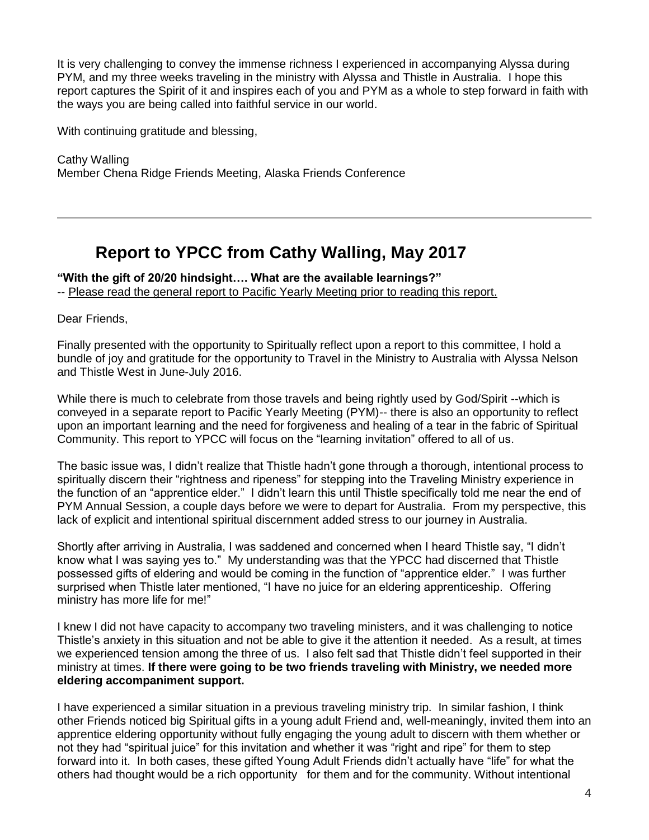It is very challenging to convey the immense richness I experienced in accompanying Alyssa during PYM, and my three weeks traveling in the ministry with Alyssa and Thistle in Australia. I hope this report captures the Spirit of it and inspires each of you and PYM as a whole to step forward in faith with the ways you are being called into faithful service in our world.

With continuing gratitude and blessing,

Cathy Walling Member Chena Ridge Friends Meeting, Alaska Friends Conference

## **Report to YPCC from Cathy Walling, May 2017**

**"With the gift of 20/20 hindsight…. What are the available learnings?"** -- Please read the general report to Pacific Yearly Meeting prior to reading this report.

Dear Friends,

Finally presented with the opportunity to Spiritually reflect upon a report to this committee, I hold a bundle of joy and gratitude for the opportunity to Travel in the Ministry to Australia with Alyssa Nelson and Thistle West in June-July 2016.

While there is much to celebrate from those travels and being rightly used by God/Spirit --which is conveyed in a separate report to Pacific Yearly Meeting (PYM)-- there is also an opportunity to reflect upon an important learning and the need for forgiveness and healing of a tear in the fabric of Spiritual Community. This report to YPCC will focus on the "learning invitation" offered to all of us.

The basic issue was, I didn't realize that Thistle hadn't gone through a thorough, intentional process to spiritually discern their "rightness and ripeness" for stepping into the Traveling Ministry experience in the function of an "apprentice elder." I didn't learn this until Thistle specifically told me near the end of PYM Annual Session, a couple days before we were to depart for Australia. From my perspective, this lack of explicit and intentional spiritual discernment added stress to our journey in Australia.

Shortly after arriving in Australia, I was saddened and concerned when I heard Thistle say, "I didn't know what I was saying yes to." My understanding was that the YPCC had discerned that Thistle possessed gifts of eldering and would be coming in the function of "apprentice elder." I was further surprised when Thistle later mentioned, "I have no juice for an eldering apprenticeship. Offering ministry has more life for me!"

I knew I did not have capacity to accompany two traveling ministers, and it was challenging to notice Thistle's anxiety in this situation and not be able to give it the attention it needed. As a result, at times we experienced tension among the three of us. I also felt sad that Thistle didn't feel supported in their ministry at times. **If there were going to be two friends traveling with Ministry, we needed more eldering accompaniment support.** 

I have experienced a similar situation in a previous traveling ministry trip. In similar fashion, I think other Friends noticed big Spiritual gifts in a young adult Friend and, well-meaningly, invited them into an apprentice eldering opportunity without fully engaging the young adult to discern with them whether or not they had "spiritual juice" for this invitation and whether it was "right and ripe" for them to step forward into it. In both cases, these gifted Young Adult Friends didn't actually have "life" for what the others had thought would be a rich opportunity for them and for the community. Without intentional